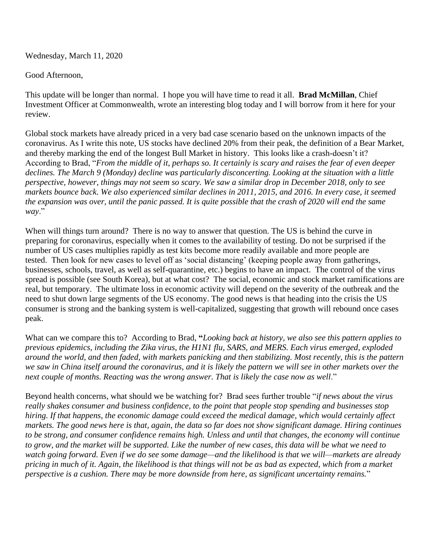Wednesday, March 11, 2020

## Good Afternoon,

This update will be longer than normal. I hope you will have time to read it all. **Brad McMillan**, Chief Investment Officer at Commonwealth, wrote an interesting blog today and I will borrow from it here for your review.

Global stock markets have already priced in a very bad case scenario based on the unknown impacts of the coronavirus. As I write this note, US stocks have declined 20% from their peak, the definition of a Bear Market, and thereby marking the end of the longest Bull Market in history. This looks like a crash-doesn't it? According to Brad, "*From the middle of it, perhaps so. It certainly is scary and raises the fear of even deeper declines. The March 9 (Monday) decline was particularly disconcerting. Looking at the situation with a little perspective, however, things may not seem so scary. We saw a similar drop in December 2018, only to see markets bounce back. We also experienced similar declines in 2011, 2015, and 2016. In every case, it seemed the expansion was over, until the panic passed. It is quite possible that the crash of 2020 will end the same way*."

When will things turn around? There is no way to answer that question. The US is behind the curve in preparing for coronavirus, especially when it comes to the availability of testing. Do not be surprised if the number of US cases multiplies rapidly as test kits become more readily available and more people are tested. Then look for new cases to level off as 'social distancing' (keeping people away from gatherings, businesses, schools, travel, as well as self-quarantine, etc.) begins to have an impact. The control of the virus spread is possible (see South Korea), but at what cost? The social, economic and stock market ramifications are real, but temporary. The ultimate loss in economic activity will depend on the severity of the outbreak and the need to shut down large segments of the US economy. The good news is that heading into the crisis the US consumer is strong and the banking system is well-capitalized, suggesting that growth will rebound once cases peak.

What can we compare this to? According to Brad, **"***Looking back at history, we also see this pattern applies to previous epidemics, including the Zika virus, the H1N1 flu, SARS, and MERS. Each virus emerged, exploded around the world, and then faded, with markets panicking and then stabilizing. Most recently, this is the pattern we saw in China itself around the coronavirus, and it is likely the pattern we will see in other markets over the*  next couple of months. Reacting was the wrong answer. That is likely the case now as well."

Beyond health concerns, what should we be watching for? Brad sees further trouble "*if news about the virus really shakes consumer and business confidence, to the point that people stop spending and businesses stop hiring. If that happens, the economic damage could exceed the medical damage, which would certainly affect markets. The good news here is that, again, the data so far does not show significant damage. Hiring continues to be strong, and consumer confidence remains high. Unless and until that changes, the economy will continue to grow, and the market will be supported. Like the number of new cases, this data will be what we need to watch going forward. Even if we do see some damage—and the likelihood is that we will—markets are already pricing in much of it. Again, the likelihood is that things will not be as bad as expected, which from a market perspective is a cushion. There may be more downside from here, as significant uncertainty remains.*"